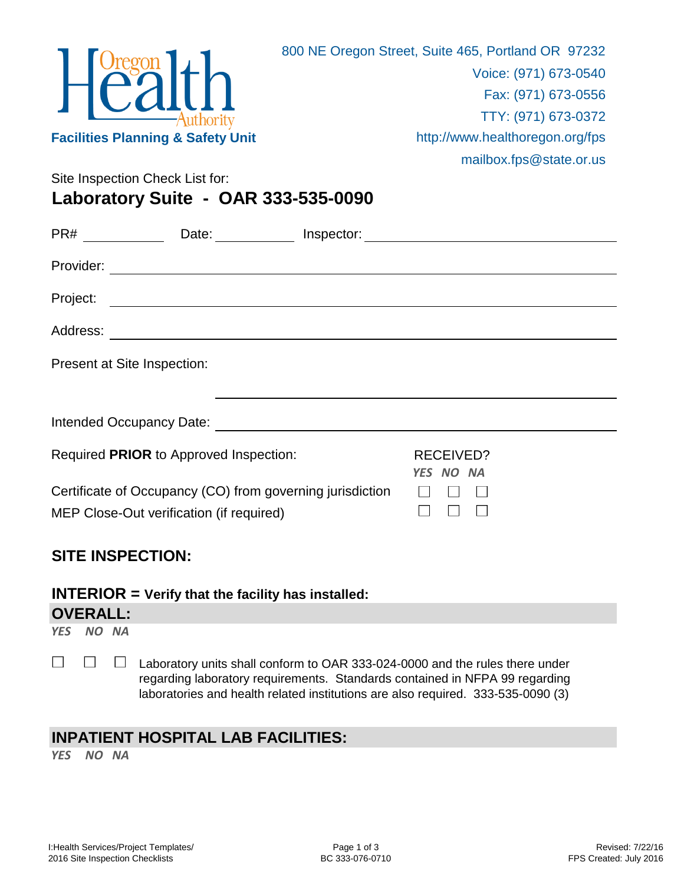

Site Inspection Check List for:

**Laboratory Suite - OAR 333-535-0090**

|           | Date: Inspector:                                                                                                      |                               |  |
|-----------|-----------------------------------------------------------------------------------------------------------------------|-------------------------------|--|
| Provider: |                                                                                                                       |                               |  |
| Project:  |                                                                                                                       |                               |  |
| Address:  | <u> 1989 - Johann Harry Harry Harry Harry Harry Harry Harry Harry Harry Harry Harry Harry Harry Harry Harry Harry</u> |                               |  |
|           | Present at Site Inspection:                                                                                           |                               |  |
|           | Intended Occupancy Date:                                                                                              |                               |  |
|           | Required PRIOR to Approved Inspection:                                                                                | <b>RECEIVED?</b><br>YES NO NA |  |
|           | Certificate of Occupancy (CO) from governing jurisdiction<br>MEP Close-Out verification (if required)                 |                               |  |

## **SITE INSPECTION:**

## **INTERIOR = Verify that the facility has installed:**

## **OVERALL:**

*YES NO NA*

 $\Box$  $\Box$  $\Box$ Laboratory units shall conform to OAR 333-024-0000 and the rules there under regarding laboratory requirements. Standards contained in NFPA 99 regarding laboratories and health related institutions are also required. 333-535-0090 (3)

## **INPATIENT HOSPITAL LAB FACILITIES:**

*YES NO NA*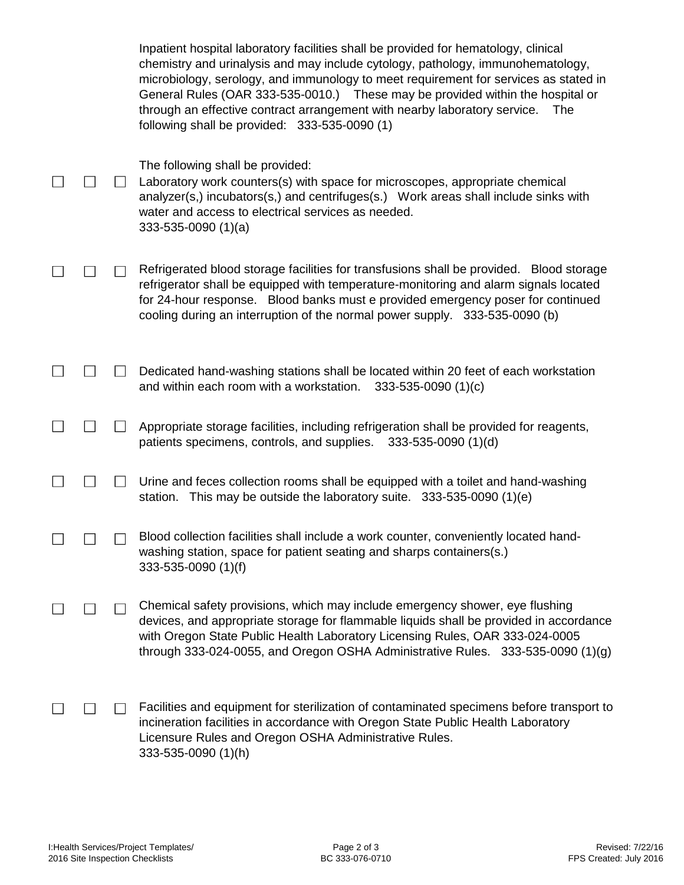|  | Inpatient hospital laboratory facilities shall be provided for hematology, clinical<br>chemistry and urinalysis and may include cytology, pathology, immunohematology,<br>microbiology, serology, and immunology to meet requirement for services as stated in<br>General Rules (OAR 333-535-0010.) These may be provided within the hospital or<br>through an effective contract arrangement with nearby laboratory service.<br>The<br>following shall be provided: 333-535-0090 (1) |
|--|---------------------------------------------------------------------------------------------------------------------------------------------------------------------------------------------------------------------------------------------------------------------------------------------------------------------------------------------------------------------------------------------------------------------------------------------------------------------------------------|
|  | The following shall be provided:<br>Laboratory work counters(s) with space for microscopes, appropriate chemical<br>analyzer(s,) incubators(s,) and centrifuges(s.) Work areas shall include sinks with<br>water and access to electrical services as needed.<br>$333 - 535 - 0090$ (1)(a)                                                                                                                                                                                            |
|  | Refrigerated blood storage facilities for transfusions shall be provided. Blood storage<br>refrigerator shall be equipped with temperature-monitoring and alarm signals located<br>for 24-hour response. Blood banks must e provided emergency poser for continued<br>cooling during an interruption of the normal power supply. 333-535-0090 (b)                                                                                                                                     |
|  | Dedicated hand-washing stations shall be located within 20 feet of each workstation<br>and within each room with a workstation.<br>$333 - 535 - 0090$ (1)(c)                                                                                                                                                                                                                                                                                                                          |
|  | Appropriate storage facilities, including refrigeration shall be provided for reagents,<br>patients specimens, controls, and supplies. 333-535-0090 (1)(d)                                                                                                                                                                                                                                                                                                                            |
|  | Urine and feces collection rooms shall be equipped with a toilet and hand-washing<br>station. This may be outside the laboratory suite. $333-535-0090(1)(e)$                                                                                                                                                                                                                                                                                                                          |
|  | Blood collection facilities shall include a work counter, conveniently located hand-<br>washing station, space for patient seating and sharps containers(s.)<br>333-535-0090 (1)(f)                                                                                                                                                                                                                                                                                                   |
|  | Chemical safety provisions, which may include emergency shower, eye flushing<br>devices, and appropriate storage for flammable liquids shall be provided in accordance<br>with Oregon State Public Health Laboratory Licensing Rules, OAR 333-024-0005<br>through 333-024-0055, and Oregon OSHA Administrative Rules. $333-535-0090$ (1)(g)                                                                                                                                           |
|  | Facilities and equipment for sterilization of contaminated specimens before transport to<br>incineration facilities in accordance with Oregon State Public Health Laboratory<br>Licensure Rules and Oregon OSHA Administrative Rules.<br>333-535-0090 (1)(h)                                                                                                                                                                                                                          |